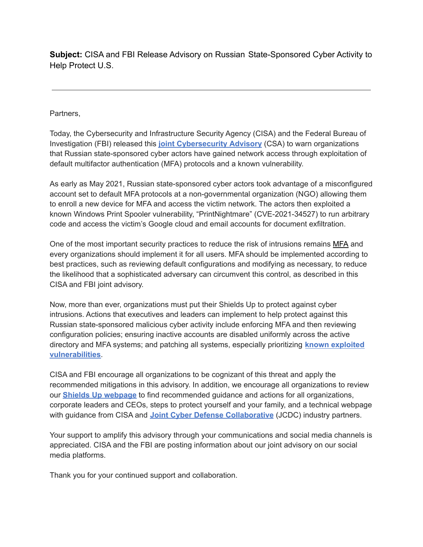**Subject:** CISA and FBI Release Advisory on Russian State-Sponsored Cyber Activity to Help Protect U.S.

Partners,

Today, the Cybersecurity and Infrastructure Security Agency (CISA) and the Federal Bureau of Investigation (FBI) released this **joint [Cybersecurity](https://nam04.safelinks.protection.outlook.com/?url=https%3A%2F%2Flinkprotect.cudasvc.com%2Furl%3Fa%3Dhttps%253a%252f%252fwww.cisa.gov%252fuscert%252fncas%252falerts%252faa22-074a%26c%3DE%2C1%2CA8hKBFPG1pP5n5bwIUXR6v7ZtYJ5kf68nNHXggulp01Ypnf2dB8J-BEQBwwxdVxDhXl23aeo04_rDQKAjgAGzZPnunZQ3LOztzYUN7mYwg8NnaaHVKA%2C%26typo%3D1&data=04%7C01%7Cdataya.resenois%40bison.howard.edu%7C215afafb69cd4df203d708da06d7e043%7C02ac0c07b75f46bf9b133630ba94bb69%7C0%7C0%7C637829821500362541%7CUnknown%7CTWFpbGZsb3d8eyJWIjoiMC4wLjAwMDAiLCJQIjoiV2luMzIiLCJBTiI6Ik1haWwiLCJXVCI6Mn0%3D%7C3000&sdata=iUDCiIcCXPg%2Fb04aVAIFVINFORibnSnHFjd6oWS57rY%3D&reserved=0) Advisory** (CSA) to warn organizations that Russian state-sponsored cyber actors have gained network access through exploitation of default multifactor authentication (MFA) protocols and a known vulnerability.

As early as May 2021, Russian state-sponsored cyber actors took advantage of a misconfigured account set to default MFA protocols at a non-governmental organization (NGO) allowing them to enroll a new device for MFA and access the victim network. The actors then exploited a known Windows Print Spooler vulnerability, "PrintNightmare" (CVE-2021-34527) to run arbitrary code and access the victim's Google cloud and email accounts for document exfiltration.

One of the most important security practices to reduce the risk of intrusions remains [MFA](https://nam04.safelinks.protection.outlook.com/?url=https%3A%2F%2Flinkprotect.cudasvc.com%2Furl%3Fa%3Dhttps%253a%252f%252fwww.cisa.gov%252fmfa%26c%3DE%2C1%2C1b5i5Dl-BazvUlcAl80MKKn6_s9GEOn1Ek8-N0QJmvOOS29-jHZMoLtnJa6dF_35N2XKiWqf55Duj2_S5i-lyDPZR3TOgnIHCUov25FAGdfv3G8rvQCCKqvp%26typo%3D1&data=04%7C01%7Cdataya.resenois%40bison.howard.edu%7C215afafb69cd4df203d708da06d7e043%7C02ac0c07b75f46bf9b133630ba94bb69%7C0%7C0%7C637829821500362541%7CUnknown%7CTWFpbGZsb3d8eyJWIjoiMC4wLjAwMDAiLCJQIjoiV2luMzIiLCJBTiI6Ik1haWwiLCJXVCI6Mn0%3D%7C3000&sdata=qNjfCnMqet5IuGrFjgXolD9APoL0qMEBQ5JU7goFVw8%3D&reserved=0) and every organizations should implement it for all users. MFA should be implemented according to best practices, such as reviewing default configurations and modifying as necessary, to reduce the likelihood that a sophisticated adversary can circumvent this control, as described in this CISA and FBI joint advisory.

Now, more than ever, organizations must put their Shields Up to protect against cyber intrusions. Actions that executives and leaders can implement to help protect against this Russian state-sponsored malicious cyber activity include enforcing MFA and then reviewing configuration policies; ensuring inactive accounts are disabled uniformly across the active directory and MFA systems; and patching all systems, especially prioritizing **known [exploited](https://nam04.safelinks.protection.outlook.com/?url=https%3A%2F%2Flinkprotect.cudasvc.com%2Furl%3Fa%3Dhttps%253a%252f%252fwww.cisa.gov%252fknown-exploited-vulnerabilities%26c%3DE%2C1%2CzyNmQsFDNqSkJRjPuBmmjewTeOcEZM3FFVGfZlQpQNjkXxOIeVoP0QaRKwVPX7ok_EN665Dxg9ouGE2BRKc-aydjqrN-hr3Y4fdDgdYgVY0f%26typo%3D1&data=04%7C01%7Cdataya.resenois%40bison.howard.edu%7C215afafb69cd4df203d708da06d7e043%7C02ac0c07b75f46bf9b133630ba94bb69%7C0%7C0%7C637829821500362541%7CUnknown%7CTWFpbGZsb3d8eyJWIjoiMC4wLjAwMDAiLCJQIjoiV2luMzIiLCJBTiI6Ik1haWwiLCJXVCI6Mn0%3D%7C3000&sdata=Id%2BM9w4cep7%2B%2BxA0lLiznc%2B994HtJaldRxg5ED9qMRU%3D&reserved=0) [vulnerabilities](https://nam04.safelinks.protection.outlook.com/?url=https%3A%2F%2Flinkprotect.cudasvc.com%2Furl%3Fa%3Dhttps%253a%252f%252fwww.cisa.gov%252fknown-exploited-vulnerabilities%26c%3DE%2C1%2CzyNmQsFDNqSkJRjPuBmmjewTeOcEZM3FFVGfZlQpQNjkXxOIeVoP0QaRKwVPX7ok_EN665Dxg9ouGE2BRKc-aydjqrN-hr3Y4fdDgdYgVY0f%26typo%3D1&data=04%7C01%7Cdataya.resenois%40bison.howard.edu%7C215afafb69cd4df203d708da06d7e043%7C02ac0c07b75f46bf9b133630ba94bb69%7C0%7C0%7C637829821500362541%7CUnknown%7CTWFpbGZsb3d8eyJWIjoiMC4wLjAwMDAiLCJQIjoiV2luMzIiLCJBTiI6Ik1haWwiLCJXVCI6Mn0%3D%7C3000&sdata=Id%2BM9w4cep7%2B%2BxA0lLiznc%2B994HtJaldRxg5ED9qMRU%3D&reserved=0)**.

CISA and FBI encourage all organizations to be cognizant of this threat and apply the recommended mitigations in this advisory. In addition, we encourage all organizations to review our **Shields Up [webpage](https://nam04.safelinks.protection.outlook.com/?url=https%3A%2F%2Flinkprotect.cudasvc.com%2Furl%3Fa%3Dhttps%253a%252f%252fwww.cisa.gov%252fshields-up%26c%3DE%2C1%2CZZBnDmuPZ_F6vBv8nGPwpkfE2kCo2muBQ7Kg7Cu0hKIq_nZjfOsoZFk1r3yfSUUY--MN-0lXia3OrScTPN_GZ1WHzYUrmKU9BCe7OpLXrkbH%26typo%3D1&data=04%7C01%7Cdataya.resenois%40bison.howard.edu%7C215afafb69cd4df203d708da06d7e043%7C02ac0c07b75f46bf9b133630ba94bb69%7C0%7C0%7C637829821500362541%7CUnknown%7CTWFpbGZsb3d8eyJWIjoiMC4wLjAwMDAiLCJQIjoiV2luMzIiLCJBTiI6Ik1haWwiLCJXVCI6Mn0%3D%7C3000&sdata=AH7tgN783QYFqw9kBOdEuobphVhEQ4zam4BFNj7Vkho%3D&reserved=0)** to find recommended guidance and actions for all organizations, corporate leaders and CEOs, steps to protect yourself and your family, and a technical webpage with guidance from CISA and **Joint Cyber Defense [Collaborative](https://nam04.safelinks.protection.outlook.com/?url=https%3A%2F%2Flinkprotect.cudasvc.com%2Furl%3Fa%3Dhttps%253a%252f%252fwww.cisa.gov%252fsites%252fdefault%252ffiles%252fpublications%252fJCDC_Fact_Sheet_508C.pdf%26c%3DE%2C1%2COWQfzA1UX5hMwOqkpC_csmk1QlKe2y-spm5GyPbScrpCzqlxFLhv0-hUTptcROafOc1Pl7pphdvEFA54gBSlUVsRsjDGbaot4NsbrYZa82gfWaCN_WIX5KQ6%26typo%3D1&data=04%7C01%7Cdataya.resenois%40bison.howard.edu%7C215afafb69cd4df203d708da06d7e043%7C02ac0c07b75f46bf9b133630ba94bb69%7C0%7C0%7C637829821500362541%7CUnknown%7CTWFpbGZsb3d8eyJWIjoiMC4wLjAwMDAiLCJQIjoiV2luMzIiLCJBTiI6Ik1haWwiLCJXVCI6Mn0%3D%7C3000&sdata=GXFyrx%2FyHqG6iS1y82nSVC%2BPQ5rXpXfuACbIxBikNIQ%3D&reserved=0)** (JCDC) industry partners.

Your support to amplify this advisory through your communications and social media channels is appreciated. CISA and the FBI are posting information about our joint advisory on our social media platforms.

Thank you for your continued support and collaboration.